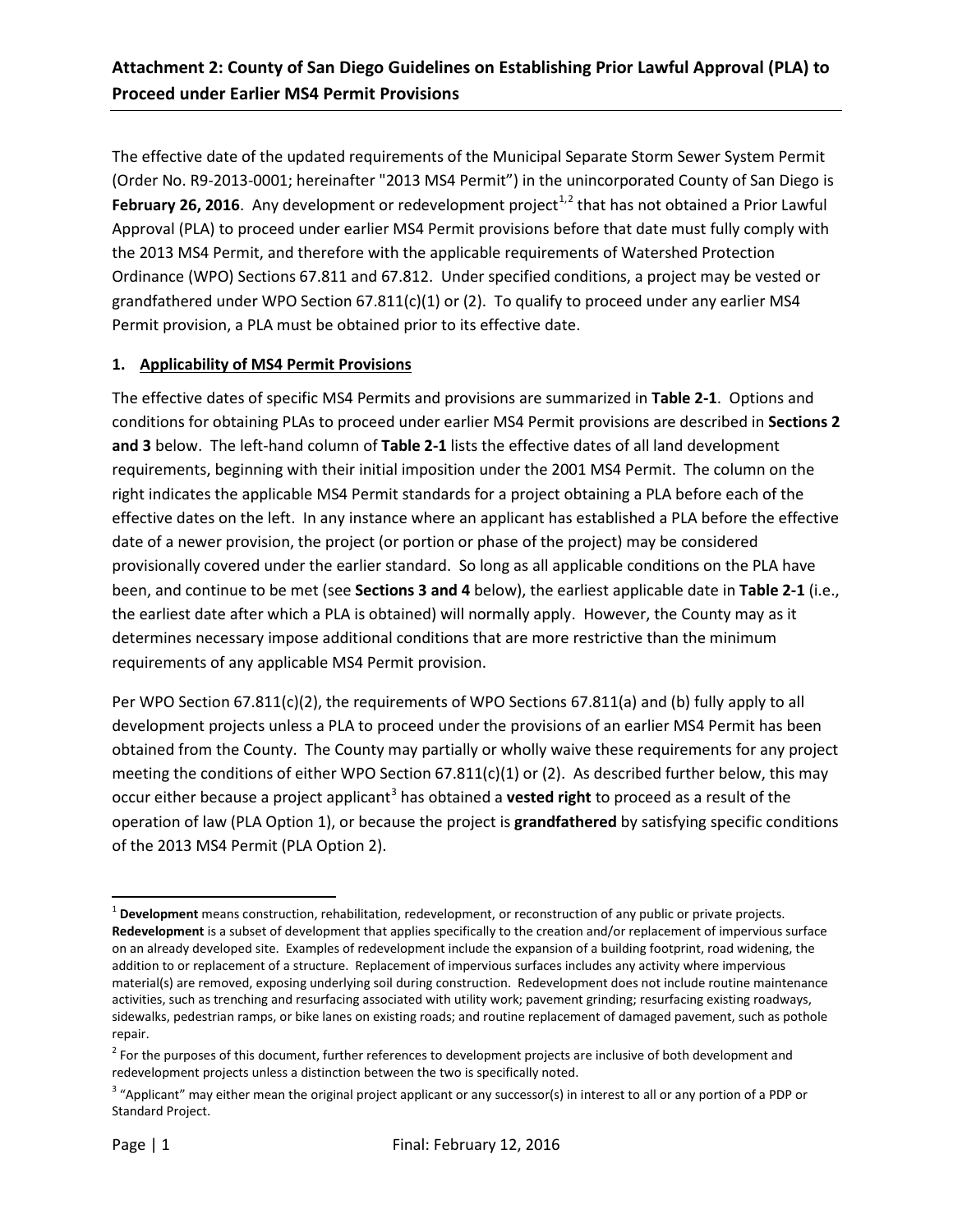The effective date of the updated requirements of the Municipal Separate Storm Sewer System Permit (Order No. R9-2013-0001; hereinafter "2013 MS4 Permit") in the unincorporated County of San Diego is **February [2](#page-0-1)6, 2016**. Any development or redevelopment project<sup>[1,](#page-0-0)2</sup> that has not obtained a Prior Lawful Approval (PLA) to proceed under earlier MS4 Permit provisions before that date must fully comply with the 2013 MS4 Permit, and therefore with the applicable requirements of Watershed Protection Ordinance (WPO) Sections 67.811 and 67.812. Under specified conditions, a project may be vested or grandfathered under WPO Section  $67.811(c)(1)$  or (2). To qualify to proceed under any earlier MS4 Permit provision, a PLA must be obtained prior to its effective date.

### **1. Applicability of MS4 Permit Provisions**

The effective dates of specific MS4 Permits and provisions are summarized in **Table 2-1**. Options and conditions for obtaining PLAs to proceed under earlier MS4 Permit provisions are described in **Sections 2 and 3** below. The left-hand column of **Table 2-1** lists the effective dates of all land development requirements, beginning with their initial imposition under the 2001 MS4 Permit. The column on the right indicates the applicable MS4 Permit standards for a project obtaining a PLA before each of the effective dates on the left. In any instance where an applicant has established a PLA before the effective date of a newer provision, the project (or portion or phase of the project) may be considered provisionally covered under the earlier standard. So long as all applicable conditions on the PLA have been, and continue to be met (see **Sections 3 and 4** below), the earliest applicable date in **Table 2-1** (i.e., the earliest date after which a PLA is obtained) will normally apply. However, the County may as it determines necessary impose additional conditions that are more restrictive than the minimum requirements of any applicable MS4 Permit provision.

Per WPO Section 67.811(c)(2), the requirements of WPO Sections 67.811(a) and (b) fully apply to all development projects unless a PLA to proceed under the provisions of an earlier MS4 Permit has been obtained from the County. The County may partially or wholly waive these requirements for any project meeting the conditions of either WPO Section  $67.811(c)(1)$  or (2). As described further below, this may occur either because a project applicant<sup>[3](#page-0-2)</sup> has obtained a **vested right** to proceed as a result of the operation of law (PLA Option 1), or because the project is **grandfathered** by satisfying specific conditions of the 2013 MS4 Permit (PLA Option 2).

l

<span id="page-0-0"></span><sup>1</sup> **Development** means construction, rehabilitation, redevelopment, or reconstruction of any public or private projects. **Redevelopment** is a subset of development that applies specifically to the creation and/or replacement of impervious surface on an already developed site. Examples of redevelopment include the expansion of a building footprint, road widening, the addition to or replacement of a structure. Replacement of impervious surfaces includes any activity where impervious material(s) are removed, exposing underlying soil during construction. Redevelopment does not include routine maintenance activities, such as trenching and resurfacing associated with utility work; pavement grinding; resurfacing existing roadways, sidewalks, pedestrian ramps, or bike lanes on existing roads; and routine replacement of damaged pavement, such as pothole repair.

<span id="page-0-1"></span> $<sup>2</sup>$  For the purposes of this document, further references to development projects are inclusive of both development and</sup> redevelopment projects unless a distinction between the two is specifically noted.

<span id="page-0-2"></span><sup>&</sup>lt;sup>3</sup> "Applicant" may either mean the original project applicant or any successor(s) in interest to all or any portion of a PDP or Standard Project.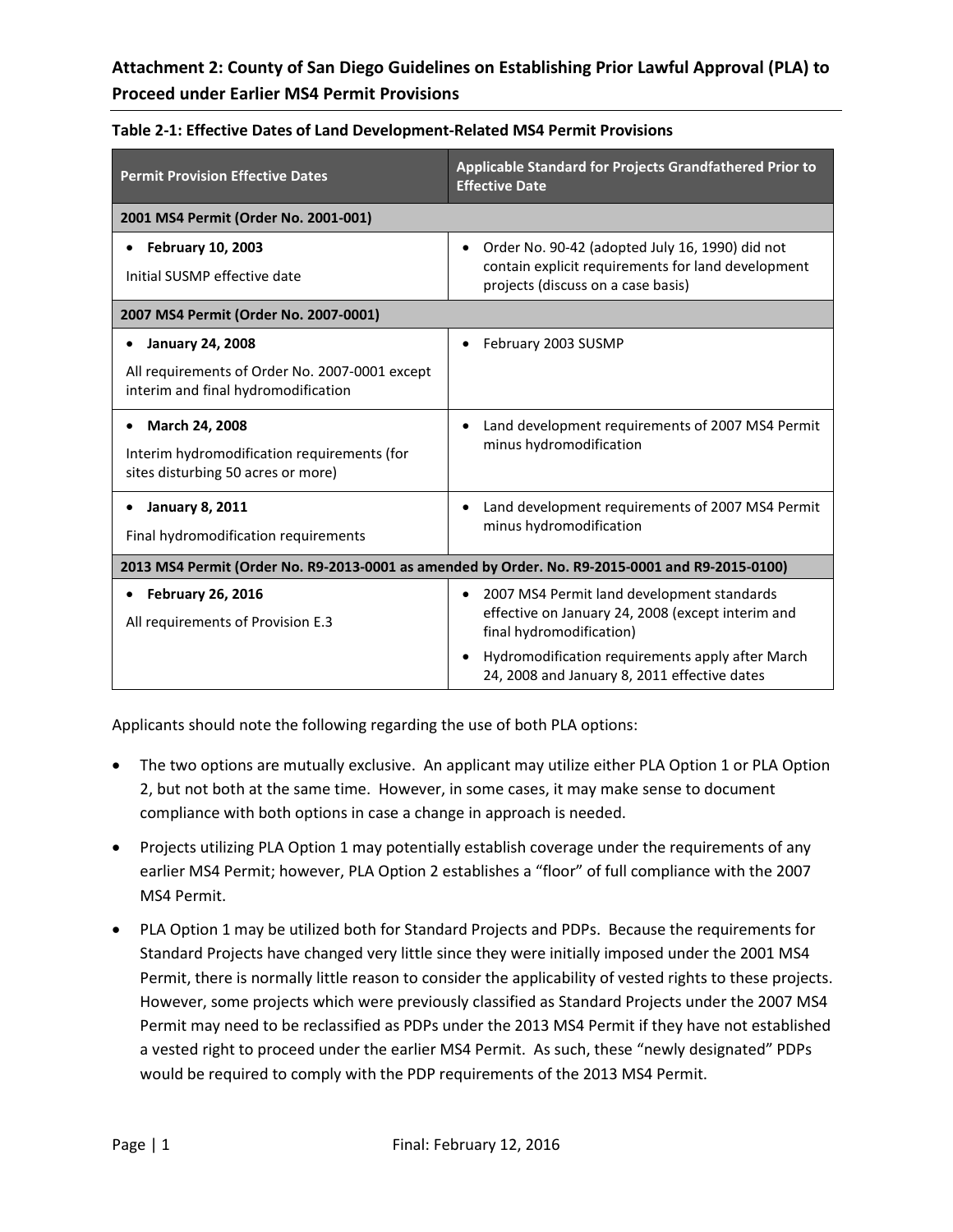| <b>Permit Provision Effective Dates</b>                                                                          | Applicable Standard for Projects Grandfathered Prior to<br><b>Effective Date</b>                                                                         |
|------------------------------------------------------------------------------------------------------------------|----------------------------------------------------------------------------------------------------------------------------------------------------------|
| 2001 MS4 Permit (Order No. 2001-001)                                                                             |                                                                                                                                                          |
| <b>February 10, 2003</b><br>Initial SUSMP effective date                                                         | Order No. 90-42 (adopted July 16, 1990) did not<br>$\bullet$<br>contain explicit requirements for land development<br>projects (discuss on a case basis) |
| 2007 MS4 Permit (Order No. 2007-0001)                                                                            |                                                                                                                                                          |
| <b>January 24, 2008</b><br>All requirements of Order No. 2007-0001 except<br>interim and final hydromodification | February 2003 SUSMP                                                                                                                                      |
| March 24, 2008<br>Interim hydromodification requirements (for<br>sites disturbing 50 acres or more)              | Land development requirements of 2007 MS4 Permit<br>minus hydromodification                                                                              |
| <b>January 8, 2011</b><br>Final hydromodification requirements                                                   | Land development requirements of 2007 MS4 Permit<br>minus hydromodification                                                                              |
| 2013 MS4 Permit (Order No. R9-2013-0001 as amended by Order. No. R9-2015-0001 and R9-2015-0100)                  |                                                                                                                                                          |
| <b>February 26, 2016</b><br>All requirements of Provision E.3                                                    | 2007 MS4 Permit land development standards<br>$\bullet$<br>effective on January 24, 2008 (except interim and<br>final hydromodification)                 |
|                                                                                                                  | Hydromodification requirements apply after March<br>$\bullet$<br>24, 2008 and January 8, 2011 effective dates                                            |

Applicants should note the following regarding the use of both PLA options:

- The two options are mutually exclusive. An applicant may utilize either PLA Option 1 or PLA Option 2, but not both at the same time. However, in some cases, it may make sense to document compliance with both options in case a change in approach is needed.
- Projects utilizing PLA Option 1 may potentially establish coverage under the requirements of any earlier MS4 Permit; however, PLA Option 2 establishes a "floor" of full compliance with the 2007 MS4 Permit.
- PLA Option 1 may be utilized both for Standard Projects and PDPs. Because the requirements for Standard Projects have changed very little since they were initially imposed under the 2001 MS4 Permit, there is normally little reason to consider the applicability of vested rights to these projects. However, some projects which were previously classified as Standard Projects under the 2007 MS4 Permit may need to be reclassified as PDPs under the 2013 MS4 Permit if they have not established a vested right to proceed under the earlier MS4 Permit. As such, these "newly designated" PDPs would be required to comply with the PDP requirements of the 2013 MS4 Permit.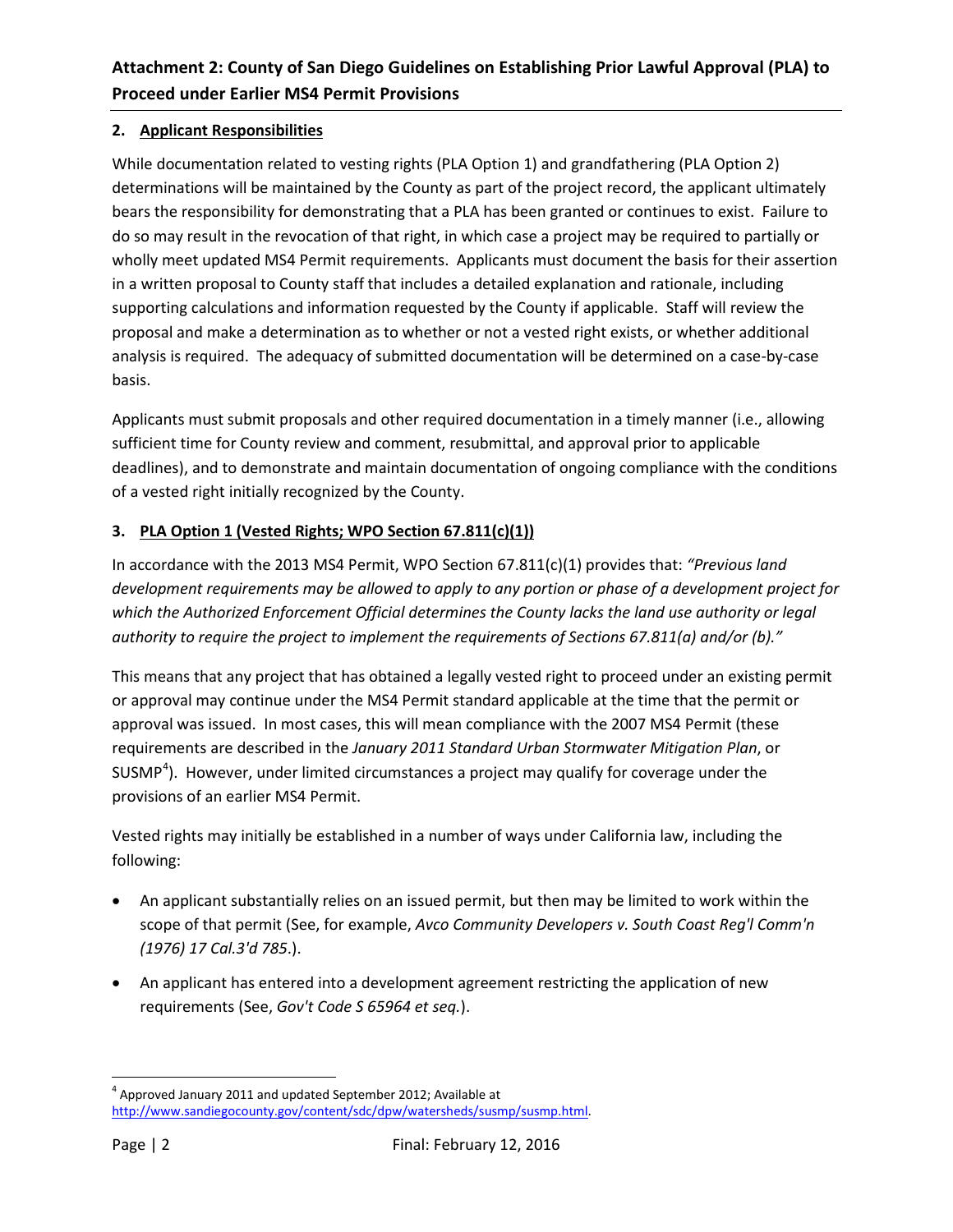### **2. Applicant Responsibilities**

While documentation related to vesting rights (PLA Option 1) and grandfathering (PLA Option 2) determinations will be maintained by the County as part of the project record, the applicant ultimately bears the responsibility for demonstrating that a PLA has been granted or continues to exist. Failure to do so may result in the revocation of that right, in which case a project may be required to partially or wholly meet updated MS4 Permit requirements. Applicants must document the basis for their assertion in a written proposal to County staff that includes a detailed explanation and rationale, including supporting calculations and information requested by the County if applicable. Staff will review the proposal and make a determination as to whether or not a vested right exists, or whether additional analysis is required. The adequacy of submitted documentation will be determined on a case-by-case basis.

Applicants must submit proposals and other required documentation in a timely manner (i.e., allowing sufficient time for County review and comment, resubmittal, and approval prior to applicable deadlines), and to demonstrate and maintain documentation of ongoing compliance with the conditions of a vested right initially recognized by the County.

### **3. PLA Option 1 (Vested Rights; WPO Section 67.811(c)(1))**

In accordance with the 2013 MS4 Permit, WPO Section 67.811(c)(1) provides that: *"Previous land development requirements may be allowed to apply to any portion or phase of a development project for which the Authorized Enforcement Official determines the County lacks the land use authority or legal authority to require the project to implement the requirements of Sections 67.811(a) and/or (b)."*

This means that any project that has obtained a legally vested right to proceed under an existing permit or approval may continue under the MS4 Permit standard applicable at the time that the permit or approval was issued. In most cases, this will mean compliance with the 2007 MS4 Permit (these requirements are described in the *January 2011 Standard Urban Stormwater Mitigation Plan*, or SUSMP<sup>[4](#page-2-0)</sup>). However, under limited circumstances a project may qualify for coverage under the provisions of an earlier MS4 Permit.

Vested rights may initially be established in a number of ways under California law, including the following:

- An applicant substantially relies on an issued permit, but then may be limited to work within the scope of that permit (See, for example, *Avco Community Developers v. South Coast Reg'l Comm'n (1976) 17 Cal.3'd 785*.).
- An applicant has entered into a development agreement restricting the application of new requirements (See, *Gov't Code S 65964 et seq.*).

<span id="page-2-0"></span>l  $4$  Approved January 2011 and updated September 2012; Available at [http://www.sandiegocounty.gov/content/sdc/dpw/watersheds/susmp/susmp.html.](http://www.sandiegocounty.gov/content/sdc/dpw/watersheds/susmp/susmp.html)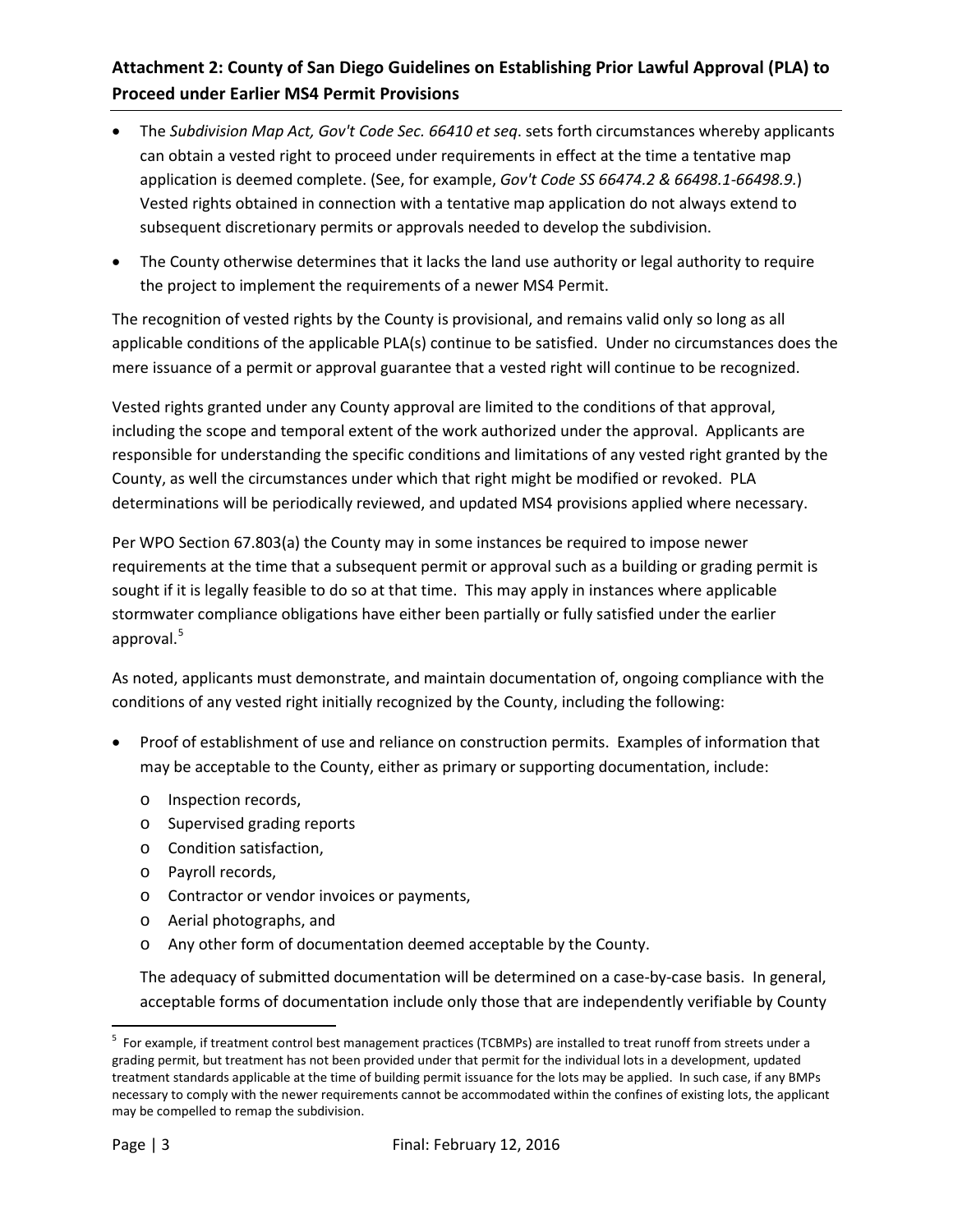- The *Subdivision Map Act, Gov't Code Sec. 66410 et seq*. sets forth circumstances whereby applicants can obtain a vested right to proceed under requirements in effect at the time a tentative map application is deemed complete. (See, for example, *Gov't Code SS 66474.2 & 66498.1-66498.9.*) Vested rights obtained in connection with a tentative map application do not always extend to subsequent discretionary permits or approvals needed to develop the subdivision.
- The County otherwise determines that it lacks the land use authority or legal authority to require the project to implement the requirements of a newer MS4 Permit.

The recognition of vested rights by the County is provisional, and remains valid only so long as all applicable conditions of the applicable PLA(s) continue to be satisfied. Under no circumstances does the mere issuance of a permit or approval guarantee that a vested right will continue to be recognized.

Vested rights granted under any County approval are limited to the conditions of that approval, including the scope and temporal extent of the work authorized under the approval. Applicants are responsible for understanding the specific conditions and limitations of any vested right granted by the County, as well the circumstances under which that right might be modified or revoked. PLA determinations will be periodically reviewed, and updated MS4 provisions applied where necessary.

Per WPO Section 67.803(a) the County may in some instances be required to impose newer requirements at the time that a subsequent permit or approval such as a building or grading permit is sought if it is legally feasible to do so at that time. This may apply in instances where applicable stormwater compliance obligations have either been partially or fully satisfied under the earlier approval. [5](#page-3-0)

As noted, applicants must demonstrate, and maintain documentation of, ongoing compliance with the conditions of any vested right initially recognized by the County, including the following:

- Proof of establishment of use and reliance on construction permits. Examples of information that may be acceptable to the County, either as primary or supporting documentation, include:
	- o Inspection records,
	- o Supervised grading reports
	- o Condition satisfaction,
	- o Payroll records,
	- o Contractor or vendor invoices or payments,
	- o Aerial photographs, and
	- o Any other form of documentation deemed acceptable by the County.

The adequacy of submitted documentation will be determined on a case-by-case basis. In general, acceptable forms of documentation include only those that are independently verifiable by County

l

<span id="page-3-0"></span><sup>&</sup>lt;sup>5</sup> For example, if treatment control best management practices (TCBMPs) are installed to treat runoff from streets under a grading permit, but treatment has not been provided under that permit for the individual lots in a development, updated treatment standards applicable at the time of building permit issuance for the lots may be applied. In such case, if any BMPs necessary to comply with the newer requirements cannot be accommodated within the confines of existing lots, the applicant may be compelled to remap the subdivision.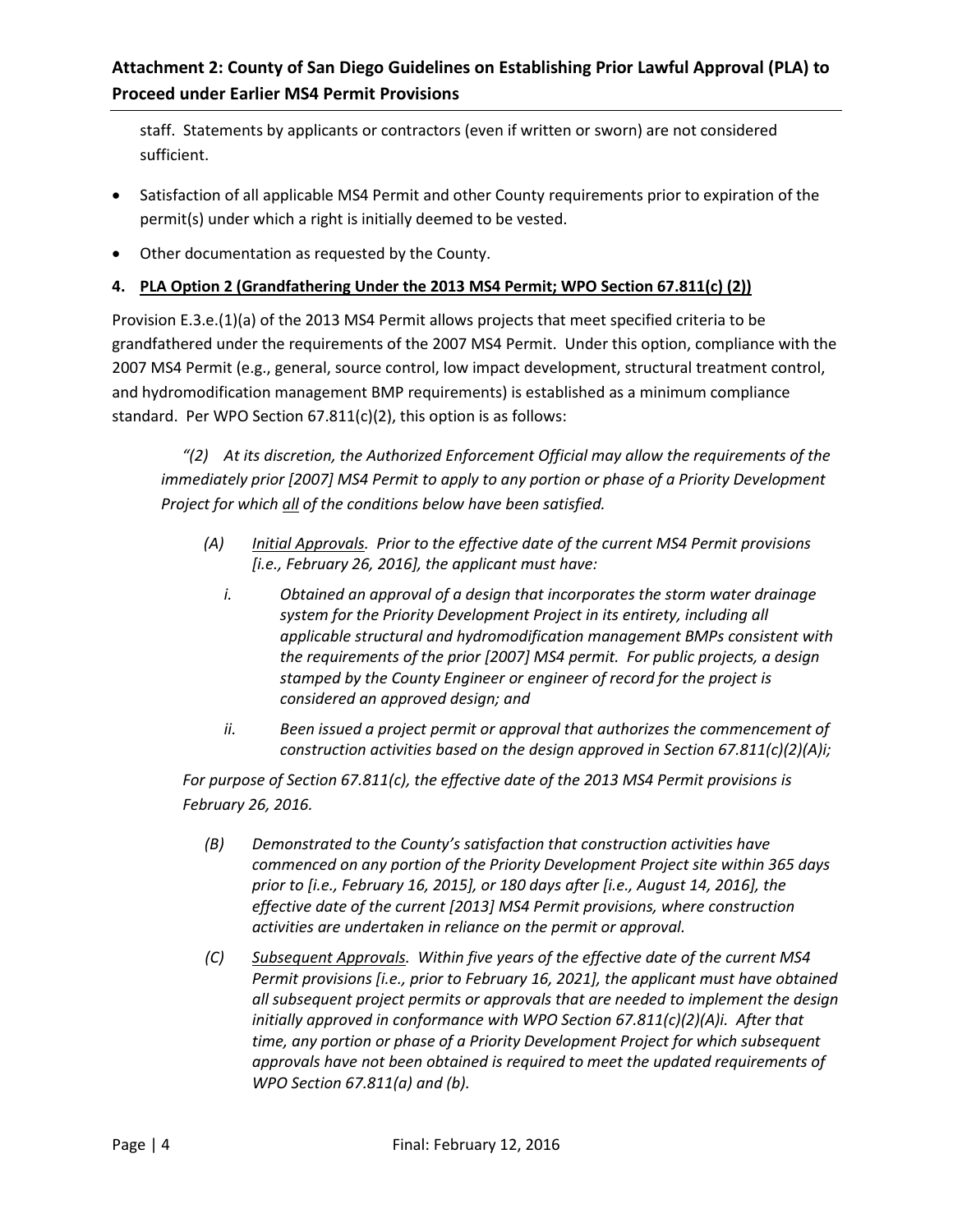staff. Statements by applicants or contractors (even if written or sworn) are not considered sufficient.

- Satisfaction of all applicable MS4 Permit and other County requirements prior to expiration of the permit(s) under which a right is initially deemed to be vested.
- Other documentation as requested by the County.

### **4. PLA Option 2 (Grandfathering Under the 2013 MS4 Permit; WPO Section 67.811(c) (2))**

Provision E.3.e.(1)(a) of the 2013 MS4 Permit allows projects that meet specified criteria to be grandfathered under the requirements of the 2007 MS4 Permit. Under this option, compliance with the 2007 MS4 Permit (e.g., general, source control, low impact development, structural treatment control, and hydromodification management BMP requirements) is established as a minimum compliance standard. Per WPO Section 67.811(c)(2), this option is as follows:

*"(2) At its discretion, the Authorized Enforcement Official may allow the requirements of the immediately prior [2007] MS4 Permit to apply to any portion or phase of a Priority Development Project for which all of the conditions below have been satisfied.*

- *(A) Initial Approvals. Prior to the effective date of the current MS4 Permit provisions [i.e., February 26, 2016], the applicant must have:*
	- *i. Obtained an approval of a design that incorporates the storm water drainage system for the Priority Development Project in its entirety, including all applicable structural and hydromodification management BMPs consistent with the requirements of the prior [2007] MS4 permit. For public projects, a design stamped by the County Engineer or engineer of record for the project is considered an approved design; and*
	- *ii. Been issued a project permit or approval that authorizes the commencement of construction activities based on the design approved in Section 67.811(c)(2)(A)i;*

*For purpose of Section 67.811(c), the effective date of the 2013 MS4 Permit provisions is February 26, 2016.*

- *(B) Demonstrated to the County's satisfaction that construction activities have commenced on any portion of the Priority Development Project site within 365 days prior to [i.e., February 16, 2015], or 180 days after [i.e., August 14, 2016], the effective date of the current [2013] MS4 Permit provisions, where construction activities are undertaken in reliance on the permit or approval.*
- *(C) Subsequent Approvals. Within five years of the effective date of the current MS4 Permit provisions [i.e., prior to February 16, 2021], the applicant must have obtained all subsequent project permits or approvals that are needed to implement the design initially approved in conformance with WPO Section 67.811(c)(2)(A)i. After that time, any portion or phase of a Priority Development Project for which subsequent approvals have not been obtained is required to meet the updated requirements of WPO Section 67.811(a) and (b).*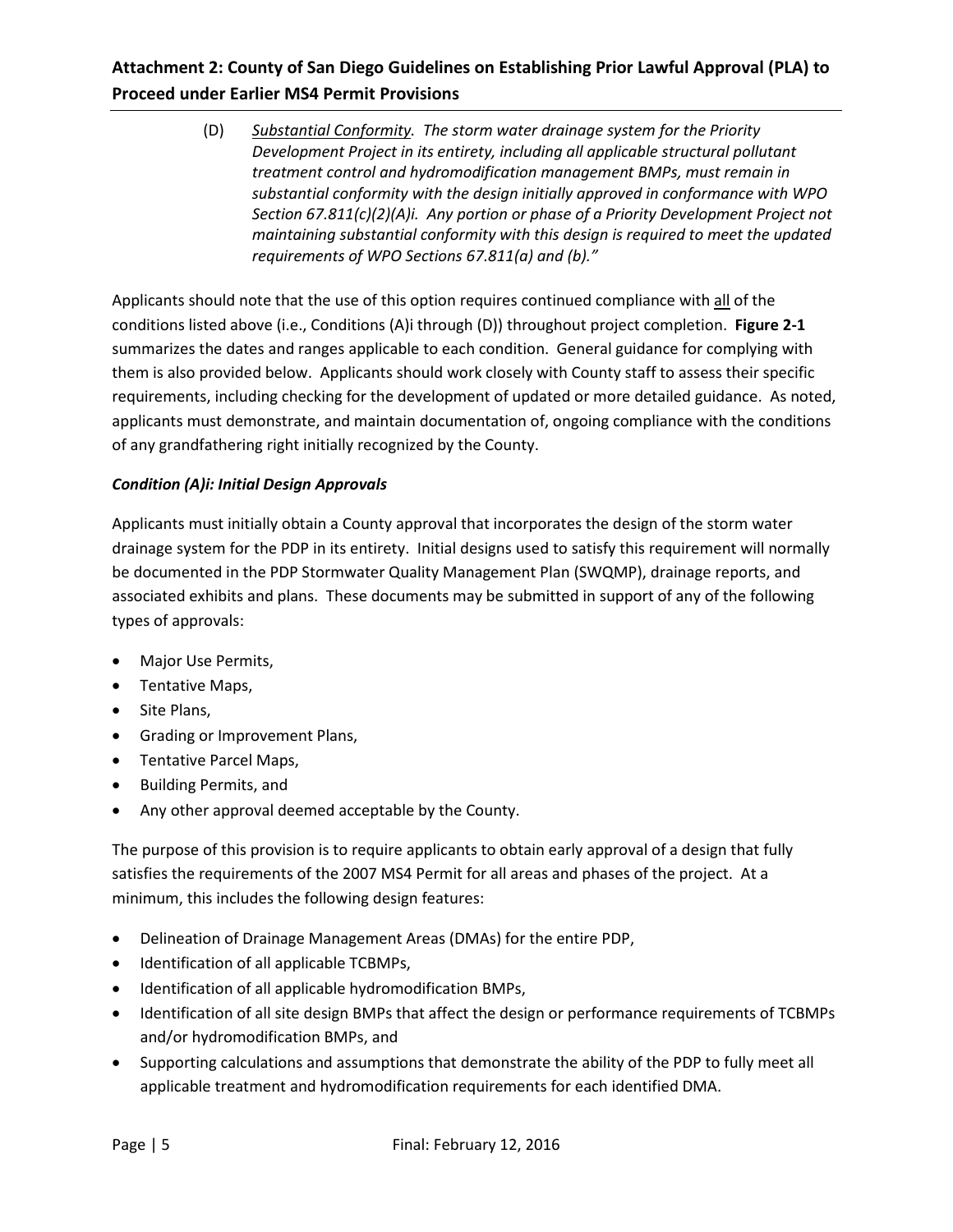(D) *Substantial Conformity. The storm water drainage system for the Priority Development Project in its entirety, including all applicable structural pollutant treatment control and hydromodification management BMPs, must remain in substantial conformity with the design initially approved in conformance with WPO Section 67.811(c)(2)(A)i. Any portion or phase of a Priority Development Project not maintaining substantial conformity with this design is required to meet the updated requirements of WPO Sections 67.811(a) and (b)."*

Applicants should note that the use of this option requires continued compliance with all of the conditions listed above (i.e., Conditions (A)i through (D)) throughout project completion. **Figure 2-1** summarizes the dates and ranges applicable to each condition. General guidance for complying with them is also provided below. Applicants should work closely with County staff to assess their specific requirements, including checking for the development of updated or more detailed guidance. As noted, applicants must demonstrate, and maintain documentation of, ongoing compliance with the conditions of any grandfathering right initially recognized by the County.

### *Condition (A)i: Initial Design Approvals*

Applicants must initially obtain a County approval that incorporates the design of the storm water drainage system for the PDP in its entirety. Initial designs used to satisfy this requirement will normally be documented in the PDP Stormwater Quality Management Plan (SWQMP), drainage reports, and associated exhibits and plans. These documents may be submitted in support of any of the following types of approvals:

- Major Use Permits,
- Tentative Maps,
- Site Plans,
- Grading or Improvement Plans,
- Tentative Parcel Maps,
- Building Permits, and
- Any other approval deemed acceptable by the County.

The purpose of this provision is to require applicants to obtain early approval of a design that fully satisfies the requirements of the 2007 MS4 Permit for all areas and phases of the project. At a minimum, this includes the following design features:

- Delineation of Drainage Management Areas (DMAs) for the entire PDP,
- Identification of all applicable TCBMPs,
- Identification of all applicable hydromodification BMPs,
- Identification of all site design BMPs that affect the design or performance requirements of TCBMPs and/or hydromodification BMPs, and
- Supporting calculations and assumptions that demonstrate the ability of the PDP to fully meet all applicable treatment and hydromodification requirements for each identified DMA.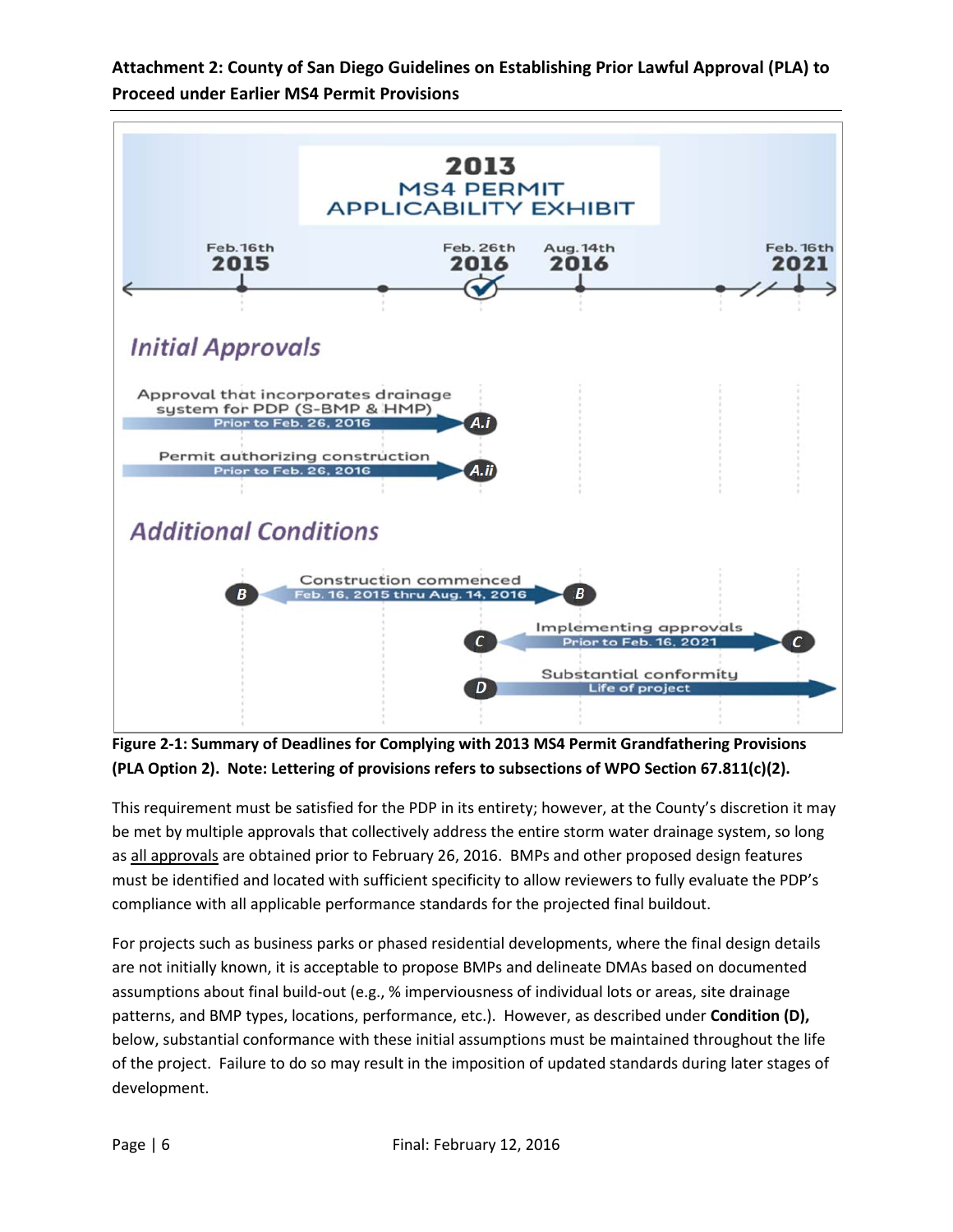

**Figure 2-1: Summary of Deadlines for Complying with 2013 MS4 Permit Grandfathering Provisions (PLA Option 2). Note: Lettering of provisions refers to subsections of WPO Section 67.811(c)(2).**

This requirement must be satisfied for the PDP in its entirety; however, at the County's discretion it may be met by multiple approvals that collectively address the entire storm water drainage system, so long as all approvals are obtained prior to February 26, 2016. BMPs and other proposed design features must be identified and located with sufficient specificity to allow reviewers to fully evaluate the PDP's compliance with all applicable performance standards for the projected final buildout.

For projects such as business parks or phased residential developments, where the final design details are not initially known, it is acceptable to propose BMPs and delineate DMAs based on documented assumptions about final build-out (e.g., % imperviousness of individual lots or areas, site drainage patterns, and BMP types, locations, performance, etc.). However, as described under **Condition (D),** below, substantial conformance with these initial assumptions must be maintained throughout the life of the project. Failure to do so may result in the imposition of updated standards during later stages of development.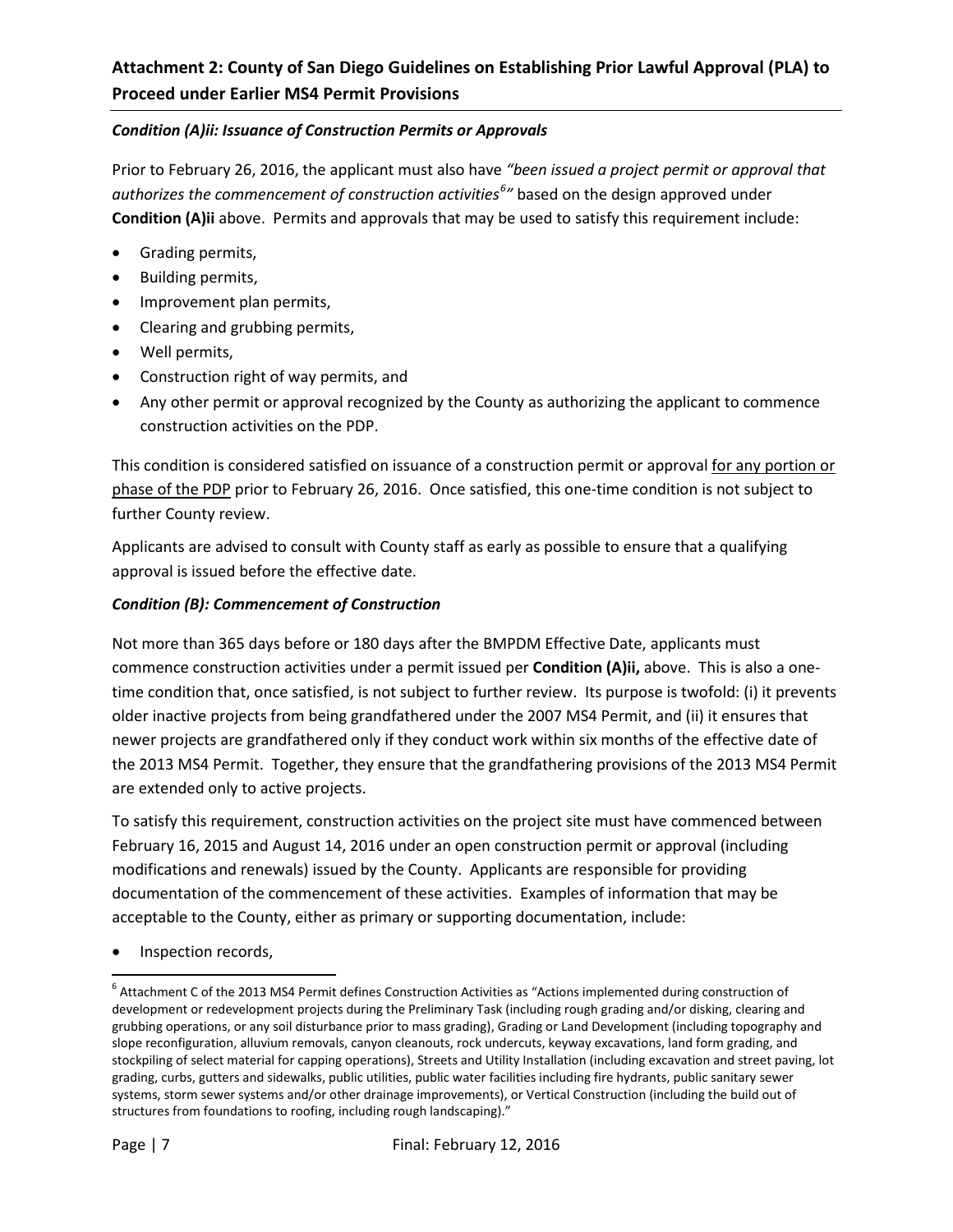### *Condition (A)ii: Issuance of Construction Permits or Approvals*

Prior to February 26, 2016, the applicant must also have *"been issued a project permit or approval that authorizes the commencement of construction activities[6](#page-7-0) "* based on the design approved under **Condition (A)ii** above. Permits and approvals that may be used to satisfy this requirement include:

- Grading permits,
- Building permits,
- Improvement plan permits,
- Clearing and grubbing permits,
- Well permits,
- Construction right of way permits, and
- Any other permit or approval recognized by the County as authorizing the applicant to commence construction activities on the PDP.

This condition is considered satisfied on issuance of a construction permit or approval for any portion or phase of the PDP prior to February 26, 2016. Once satisfied, this one-time condition is not subject to further County review.

Applicants are advised to consult with County staff as early as possible to ensure that a qualifying approval is issued before the effective date.

#### *Condition (B): Commencement of Construction*

Not more than 365 days before or 180 days after the BMPDM Effective Date, applicants must commence construction activities under a permit issued per **Condition (A)ii,** above. This is also a onetime condition that, once satisfied, is not subject to further review. Its purpose is twofold: (i) it prevents older inactive projects from being grandfathered under the 2007 MS4 Permit, and (ii) it ensures that newer projects are grandfathered only if they conduct work within six months of the effective date of the 2013 MS4 Permit. Together, they ensure that the grandfathering provisions of the 2013 MS4 Permit are extended only to active projects.

To satisfy this requirement, construction activities on the project site must have commenced between February 16, 2015 and August 14, 2016 under an open construction permit or approval (including modifications and renewals) issued by the County. Applicants are responsible for providing documentation of the commencement of these activities. Examples of information that may be acceptable to the County, either as primary or supporting documentation, include:

• Inspection records,

 $\overline{\phantom{a}}$ 

<span id="page-7-0"></span><sup>&</sup>lt;sup>6</sup> Attachment C of the 2013 MS4 Permit defines Construction Activities as "Actions implemented during construction of development or redevelopment projects during the Preliminary Task (including rough grading and/or disking, clearing and grubbing operations, or any soil disturbance prior to mass grading), Grading or Land Development (including topography and slope reconfiguration, alluvium removals, canyon cleanouts, rock undercuts, keyway excavations, land form grading, and stockpiling of select material for capping operations), Streets and Utility Installation (including excavation and street paving, lot grading, curbs, gutters and sidewalks, public utilities, public water facilities including fire hydrants, public sanitary sewer systems, storm sewer systems and/or other drainage improvements), or Vertical Construction (including the build out of structures from foundations to roofing, including rough landscaping)."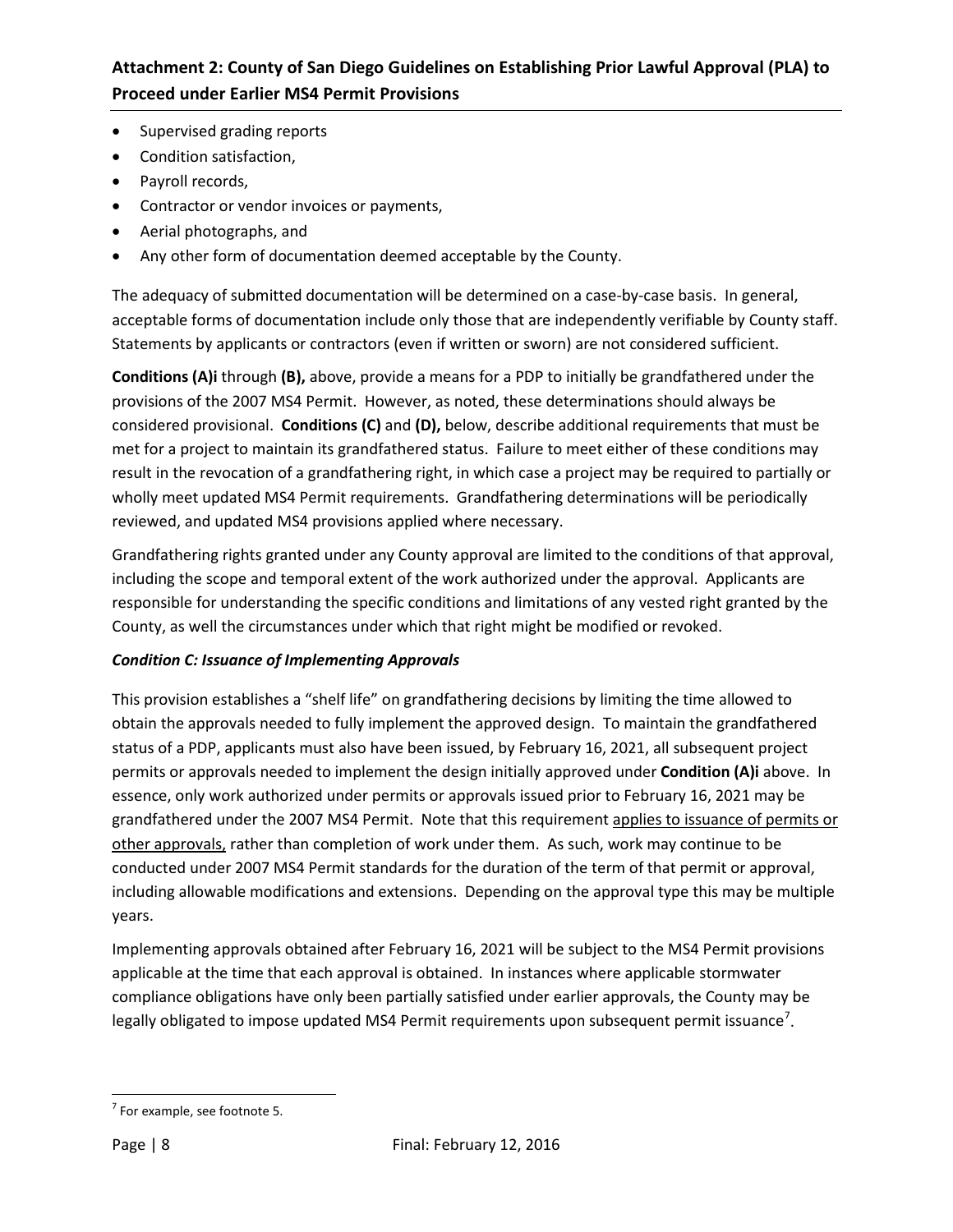- Supervised grading reports
- Condition satisfaction,
- Payroll records,
- Contractor or vendor invoices or payments,
- Aerial photographs, and
- Any other form of documentation deemed acceptable by the County.

The adequacy of submitted documentation will be determined on a case-by-case basis. In general, acceptable forms of documentation include only those that are independently verifiable by County staff. Statements by applicants or contractors (even if written or sworn) are not considered sufficient.

**Conditions (A)i** through **(B),** above, provide a means for a PDP to initially be grandfathered under the provisions of the 2007 MS4 Permit. However, as noted, these determinations should always be considered provisional. **Conditions (C)** and **(D),** below, describe additional requirements that must be met for a project to maintain its grandfathered status. Failure to meet either of these conditions may result in the revocation of a grandfathering right, in which case a project may be required to partially or wholly meet updated MS4 Permit requirements. Grandfathering determinations will be periodically reviewed, and updated MS4 provisions applied where necessary.

Grandfathering rights granted under any County approval are limited to the conditions of that approval, including the scope and temporal extent of the work authorized under the approval. Applicants are responsible for understanding the specific conditions and limitations of any vested right granted by the County, as well the circumstances under which that right might be modified or revoked.

### *Condition C: Issuance of Implementing Approvals*

This provision establishes a "shelf life" on grandfathering decisions by limiting the time allowed to obtain the approvals needed to fully implement the approved design. To maintain the grandfathered status of a PDP, applicants must also have been issued, by February 16, 2021, all subsequent project permits or approvals needed to implement the design initially approved under **Condition (A)i** above. In essence, only work authorized under permits or approvals issued prior to February 16, 2021 may be grandfathered under the 2007 MS4 Permit. Note that this requirement applies to issuance of permits or other approvals, rather than completion of work under them. As such, work may continue to be conducted under 2007 MS4 Permit standards for the duration of the term of that permit or approval, including allowable modifications and extensions. Depending on the approval type this may be multiple years.

Implementing approvals obtained after February 16, 2021 will be subject to the MS4 Permit provisions applicable at the time that each approval is obtained. In instances where applicable stormwater compliance obligations have only been partially satisfied under earlier approvals, the County may be legally obligated to impose updated MS4 Permit requirements upon subsequent permit issuance<sup>[7](#page-8-0)</sup>.

<span id="page-8-0"></span> $\overline{\phantom{a}}$  $<sup>7</sup>$  For example, see footnote 5.</sup>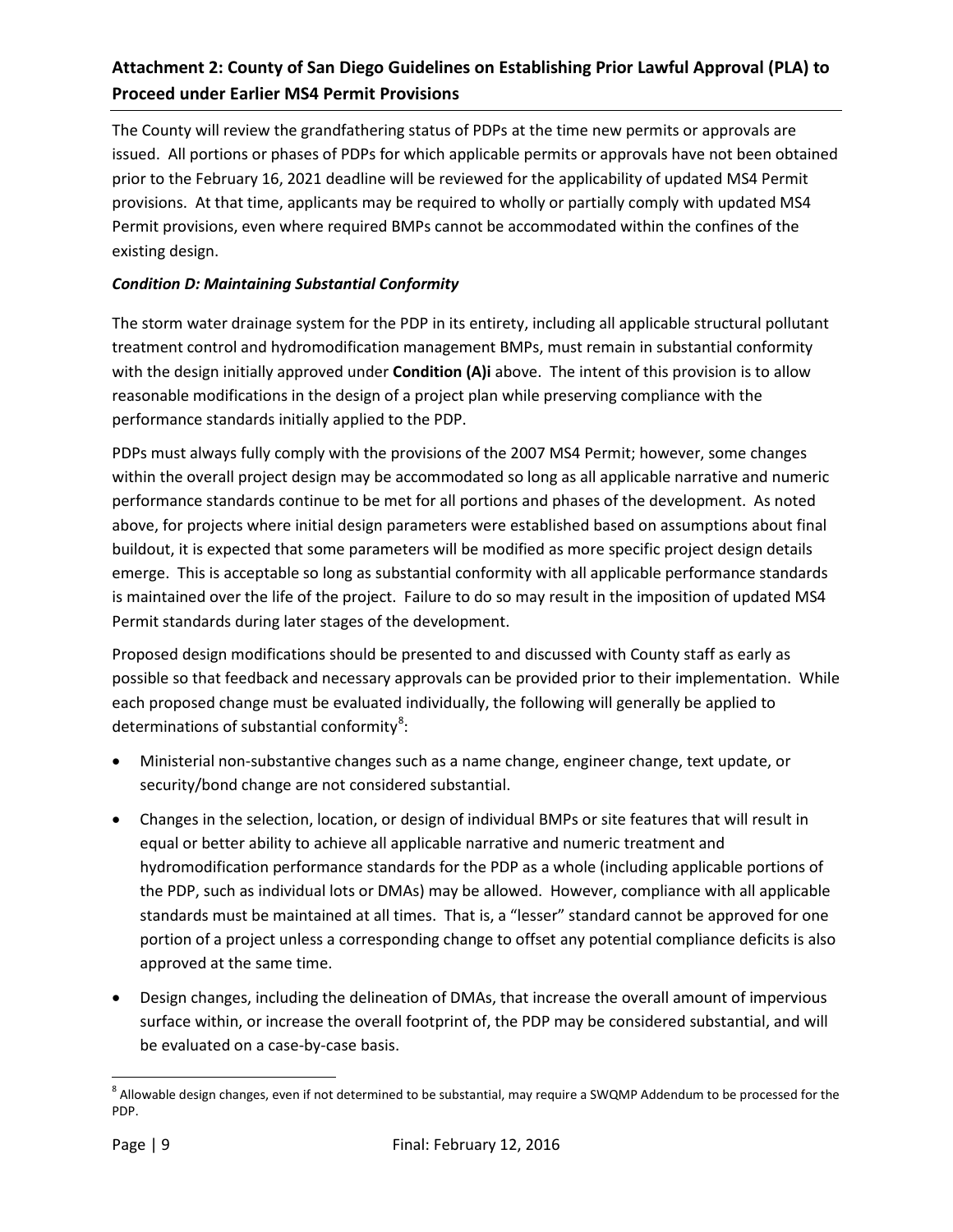The County will review the grandfathering status of PDPs at the time new permits or approvals are issued. All portions or phases of PDPs for which applicable permits or approvals have not been obtained prior to the February 16, 2021 deadline will be reviewed for the applicability of updated MS4 Permit provisions. At that time, applicants may be required to wholly or partially comply with updated MS4 Permit provisions, even where required BMPs cannot be accommodated within the confines of the existing design.

### *Condition D: Maintaining Substantial Conformity*

The storm water drainage system for the PDP in its entirety, including all applicable structural pollutant treatment control and hydromodification management BMPs, must remain in substantial conformity with the design initially approved under **Condition (A)i** above. The intent of this provision is to allow reasonable modifications in the design of a project plan while preserving compliance with the performance standards initially applied to the PDP.

PDPs must always fully comply with the provisions of the 2007 MS4 Permit; however, some changes within the overall project design may be accommodated so long as all applicable narrative and numeric performance standards continue to be met for all portions and phases of the development. As noted above, for projects where initial design parameters were established based on assumptions about final buildout, it is expected that some parameters will be modified as more specific project design details emerge. This is acceptable so long as substantial conformity with all applicable performance standards is maintained over the life of the project. Failure to do so may result in the imposition of updated MS4 Permit standards during later stages of the development.

Proposed design modifications should be presented to and discussed with County staff as early as possible so that feedback and necessary approvals can be provided prior to their implementation. While each proposed change must be evaluated individually, the following will generally be applied to determinations of substantial conformity<sup>[8](#page-9-0)</sup>:

- Ministerial non-substantive changes such as a name change, engineer change, text update, or security/bond change are not considered substantial.
- Changes in the selection, location, or design of individual BMPs or site features that will result in equal or better ability to achieve all applicable narrative and numeric treatment and hydromodification performance standards for the PDP as a whole (including applicable portions of the PDP, such as individual lots or DMAs) may be allowed. However, compliance with all applicable standards must be maintained at all times. That is, a "lesser" standard cannot be approved for one portion of a project unless a corresponding change to offset any potential compliance deficits is also approved at the same time.
- Design changes, including the delineation of DMAs, that increase the overall amount of impervious surface within, or increase the overall footprint of, the PDP may be considered substantial, and will be evaluated on a case-by-case basis.

l

<span id="page-9-0"></span> $^8$  Allowable design changes, even if not determined to be substantial, may require a SWQMP Addendum to be processed for the PDP.